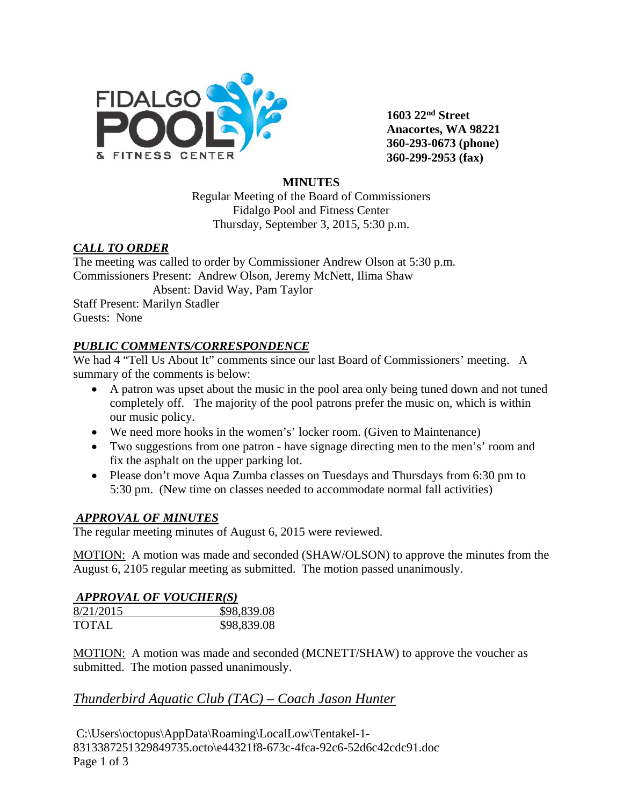

**1603 22nd Street Anacortes, WA 98221 360-293-0673 (phone) 360-299-2953 (fax)**

### **MINUTES**

Regular Meeting of the Board of Commissioners Fidalgo Pool and Fitness Center Thursday, September 3, 2015, 5:30 p.m.

#### *CALL TO ORDER*

The meeting was called to order by Commissioner Andrew Olson at 5:30 p.m. Commissioners Present: Andrew Olson, Jeremy McNett, Ilima Shaw Absent: David Way, Pam Taylor Staff Present: Marilyn Stadler

Guests: None

### *PUBLIC COMMENTS/CORRESPONDENCE*

We had 4 "Tell Us About It" comments since our last Board of Commissioners' meeting. A summary of the comments is below:

- A patron was upset about the music in the pool area only being tuned down and not tuned completely off. The majority of the pool patrons prefer the music on, which is within our music policy.
- We need more hooks in the women's' locker room. (Given to Maintenance)
- Two suggestions from one patron have signage directing men to the men's' room and fix the asphalt on the upper parking lot.
- Please don't move Aqua Zumba classes on Tuesdays and Thursdays from 6:30 pm to 5:30 pm. (New time on classes needed to accommodate normal fall activities)

### *APPROVAL OF MINUTES*

The regular meeting minutes of August 6, 2015 were reviewed.

MOTION: A motion was made and seconded (SHAW/OLSON) to approve the minutes from the August 6, 2105 regular meeting as submitted. The motion passed unanimously.

#### *APPROVAL OF VOUCHER(S)*

| 8/21/2015    | \$98,839.08 |
|--------------|-------------|
| <b>TOTAL</b> | \$98,839.08 |

MOTION: A motion was made and seconded (MCNETT/SHAW) to approve the voucher as submitted. The motion passed unanimously.

# *Thunderbird Aquatic Club (TAC) – Coach Jason Hunter*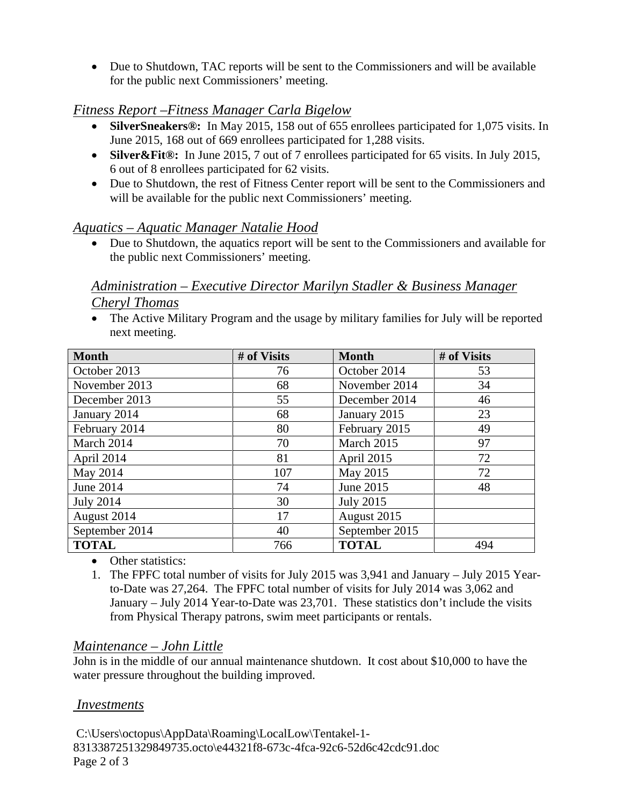• Due to Shutdown, TAC reports will be sent to the Commissioners and will be available for the public next Commissioners' meeting.

# *Fitness Report –Fitness Manager Carla Bigelow*

- **SilverSneakers®:** In May 2015, 158 out of 655 enrollees participated for 1,075 visits. In June 2015, 168 out of 669 enrollees participated for 1,288 visits.
- **Silver&Fit®:** In June 2015, 7 out of 7 enrollees participated for 65 visits. In July 2015, 6 out of 8 enrollees participated for 62 visits.
- Due to Shutdown, the rest of Fitness Center report will be sent to the Commissioners and will be available for the public next Commissioners' meeting.

# *Aquatics – Aquatic Manager Natalie Hood*

• Due to Shutdown, the aquatics report will be sent to the Commissioners and available for the public next Commissioners' meeting.

## *Administration – Executive Director Marilyn Stadler & Business Manager Cheryl Thomas*

• The Active Military Program and the usage by military families for July will be reported next meeting.

| <b>Month</b>     | # of Visits | <b>Month</b>     | # of Visits |
|------------------|-------------|------------------|-------------|
| October 2013     | 76          | October 2014     | 53          |
| November 2013    | 68          | November 2014    | 34          |
| December 2013    | 55          | December 2014    | 46          |
| January 2014     | 68          | January 2015     | 23          |
| February 2014    | 80          | February 2015    | 49          |
| March 2014       | 70          | March 2015       | 97          |
| April 2014       | 81          | April 2015       | 72          |
| May 2014         | 107         | May 2015         | 72          |
| June 2014        | 74          | June 2015        | 48          |
| <b>July 2014</b> | 30          | <b>July 2015</b> |             |
| August 2014      | 17          | August 2015      |             |
| September 2014   | 40          | September 2015   |             |
| <b>TOTAL</b>     | 766         | <b>TOTAL</b>     | 494         |

- Other statistics:
- 1. The FPFC total number of visits for July 2015 was 3,941 and January July 2015 Yearto-Date was 27,264. The FPFC total number of visits for July 2014 was 3,062 and January – July 2014 Year-to-Date was 23,701. These statistics don't include the visits from Physical Therapy patrons, swim meet participants or rentals.

# *Maintenance – John Little*

John is in the middle of our annual maintenance shutdown. It cost about \$10,000 to have the water pressure throughout the building improved.

### *Investments*

C:\Users\octopus\AppData\Roaming\LocalLow\Tentakel-1- 8313387251329849735.octo\e44321f8-673c-4fca-92c6-52d6c42cdc91.doc Page 2 of 3